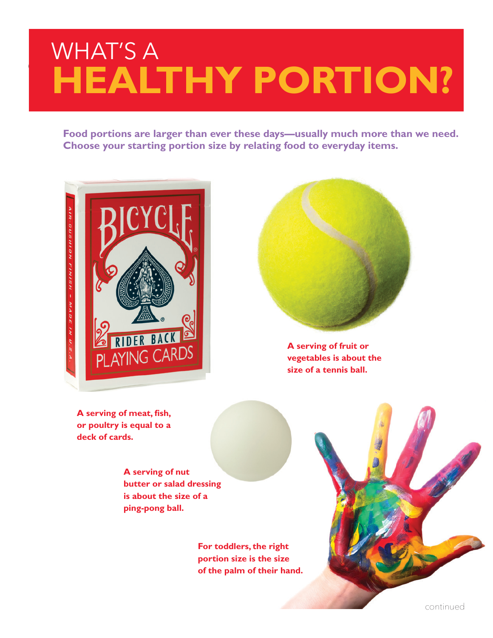## WHAT'S A **healthy portion?**

**Food portions are larger than ever these days—usually much more than we need. Choose your starting portion size by relating food to everyday items.** 





**A serving of fruit or vegetables is about the size of a tennis ball.**

**A serving of meat, fish, or poultry is equal to a deck of cards.**

> **A serving of nut butter or salad dressing is about the size of a ping-pong ball.**

> > **For toddlers, the right portion size is the size of the palm of their hand.**